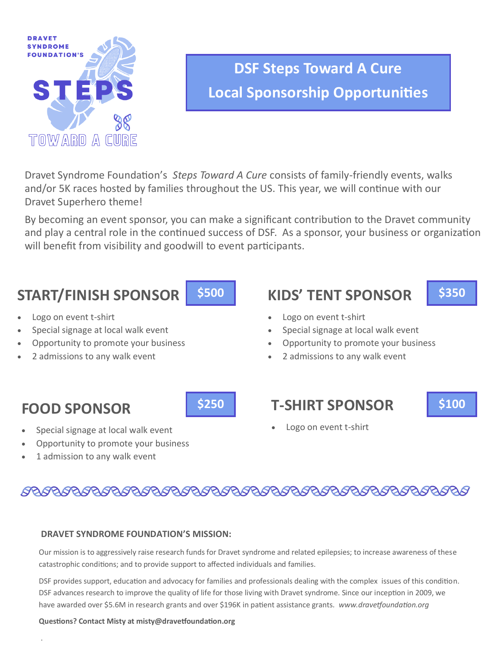

# **DSF Steps Toward A Cure Local Sponsorship Opportunities**

Dravet Syndrome Foundation's *Steps Toward A Cure* consists of family-friendly events, walks and/or 5K races hosted by families throughout the US. This year, we will continue with our Dravet Superhero theme!

By becoming an event sponsor, you can make a significant contribution to the Dravet community and play a central role in the continued success of DSF. As a sponsor, your business or organization will benefit from visibility and goodwill to event participants.

## **START/FINISH SPONSOR**

- Logo on event t-shirt
- Special signage at local walk event
- Opportunity to promote your business
- 2 admissions to any walk event

# **KIDS' TENT SPONSOR \$500 \$350**



- Logo on event t-shirt
- Special signage at local walk event
- Opportunity to promote your business
- 2 admissions to any walk event

## **FOOD SPONSOR**

.

- **\$250 T-SHIRT SPONSOR \$100**
- Special signage at local walk event
- Opportunity to promote your business
- 1 admission to any walk event

Logo on event t-shirt

### 

### **DRAVET SYNDROME FOUNDATION'S MISSION:**

Our mission is to aggressively raise research funds for Dravet syndrome and related epilepsies; to increase awareness of these catastrophic conditions; and to provide support to affected individuals and families.

DSF provides support, education and advocacy for families and professionals dealing with the complex issues of this condition. DSF advances research to improve the quality of life for those living with Dravet syndrome. Since our inception in 2009, we have awarded over \$5.6M in research grants and over \$196K in patient assistance grants. *www.dravetfoundation.org*

### **Questions? Contact Misty at misty@dravetfoundation.org**